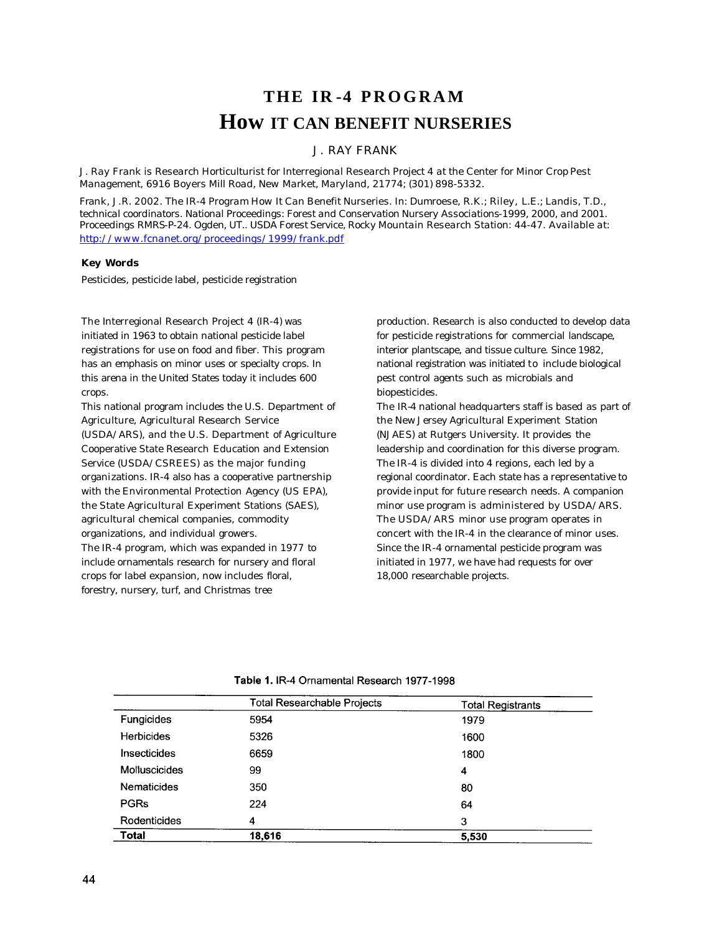# **THE IR -4 PROGRAM How IT CAN BENEFIT NURSERIES**

## J. RAY FRANK

*J. Ray Frank is Research Horticulturist for Interregional Research Project 4 at the Center for Minor Crop Pest Management, 6916 Boyers Mill Road, New Market, Maryland, 21774; (301) 898-5332.*

*Frank, J.R. 2002. The IR-4 Program How It Can Benefit Nurseries. In: Dumroese, R.K.; Riley, L.E.; Landis, T.D., technical coordinators. National Proceedings: Forest and Conservation Nursery Associations-1999, 2000, and 2001. Proceedings RMRS-P-24. Ogden, UT.. USDA Forest Service, Rocky Mountain Research Station: 44-47. Available at: http://www.fcnanet.org/proceedings/1999/frank*.*pdf*

#### *Key Words*

Pesticides, pesticide label, pesticide registration

The Interregional Research Project 4 (IR-4) was initiated in 1963 to obtain national pesticide label registrations for use on food and fiber. This program has an emphasis on minor uses or specialty crops. In this arena in the United States today it includes 600 crops.

This national program includes the U.S. Department of Agriculture, Agricultural Research Service

(USDA/ARS), and the U.S. Department of Agriculture Cooperative State Research Education and Extension Service (USDA/CSREES) as the major funding organizations. IR-4 also has a cooperative partnership with the Environmental Protection Agency (US EPA), the State Agricultural Experiment Stations (SAES), agricultural chemical companies, commodity organizations, and individual growers.

The IR-4 program, which was expanded in 1977 to include ornamentals research for nursery and floral crops for label expansion, now includes floral, forestry, nursery, turf, and Christmas tree

production. Research is also conducted to develop data for pesticide registrations for commercial landscape, interior plantscape, and tissue culture. Since 1982, national registration was initiated to include biological pest control agents such as microbials and biopesticides.

The IR-4 national headquarters staff is based as part of the New Jersey Agricultural Experiment Station (NJAES) at Rutgers University. It provides the leadership and coordination for this diverse program. The IR-4 is divided into 4 regions, each led by a regional coordinator. Each state has a representative to provide input for future research needs. A companion minor use program is administered by USDA/ARS. The USDA/ARS minor use program operates in concert with the IR-4 in the clearance of minor uses. Since the IR-4 ornamental pesticide program was initiated in 1977, we have had requests for over 18,000 researchable projects.

|                    | <b>Total Researchable Projects</b> | <b>Total Registrants</b> |
|--------------------|------------------------------------|--------------------------|
| Fungicides         | 5954                               | 1979                     |
| <b>Herbicides</b>  | 5326                               | 1600                     |
| Insecticides       | 6659                               | 1800                     |
| Molluscicides      | 99                                 | 4                        |
| <b>Nematicides</b> | 350                                | 80                       |
| <b>PGRs</b>        | 224                                | 64                       |
| Rodenticides       | 4                                  | 3                        |
| <b>Total</b>       | 18,616                             | 5,530                    |

Table 1. IR-4 Ornamental Research 1977-1998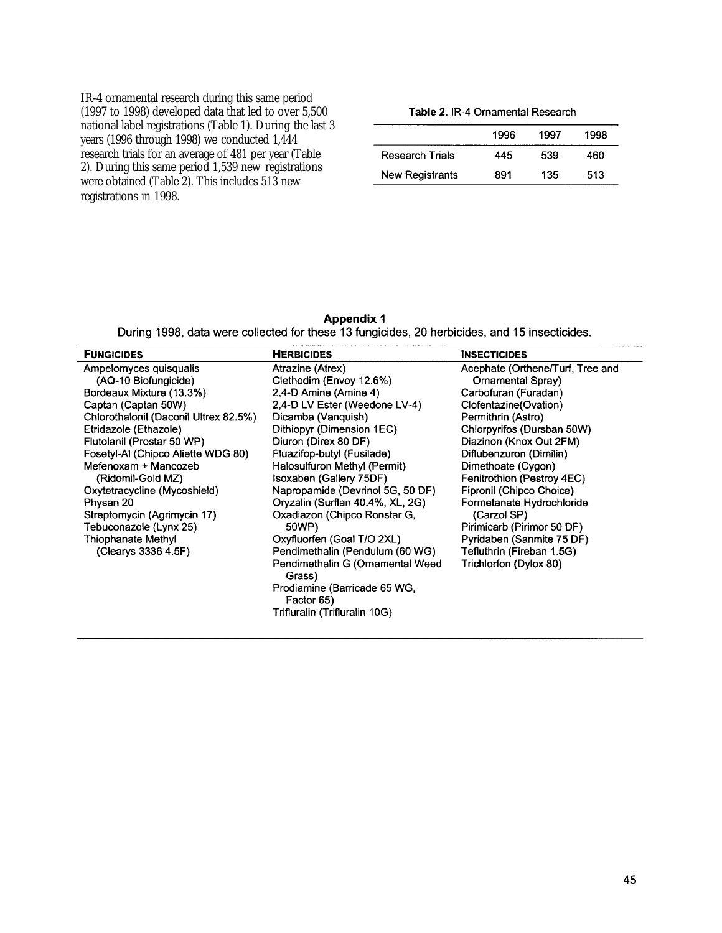IR-4 ornamental research during this same period (1997 to 1998) developed data that led to over 5,500 national label registrations (Table 1). During the last 3 years (1996 through 1998) we conducted 1,444 research trials for an average of 481 per year (Table<br>2). During this same period 1,539 new registrations<br>were obtained (Table 2). This includes 513 new registrations in 1998.

### Table 2. IR-4 Ornamental Research

|                        | 1996 | 1997 | 1998 |
|------------------------|------|------|------|
| Research Trials        | 445  | 539  | 460  |
| <b>New Registrants</b> | 891  | 135  | 513  |

## **Appendix 1**

During 1998, data were collected for these 13 fungicides, 20 herbicides, and 15 insecticides.

| <b>FUNGICIDES</b>                     | <b>HERBICIDES</b>                          | <b>INSECTICIDES</b>              |
|---------------------------------------|--------------------------------------------|----------------------------------|
| Ampelomyces quisqualis                | Atrazine (Atrex)                           | Acephate (Orthene/Turf, Tree and |
| (AQ-10 Biofungicide)                  | Clethodim (Envoy 12.6%)                    | Ornamental Spray)                |
| Bordeaux Mixture (13.3%)              | 2,4-D Amine (Amine 4)                      | Carbofuran (Furadan)             |
| Captan (Captan 50W)                   | 2,4-D LV Ester (Weedone LV-4)              | Clofentazine(Ovation)            |
| Chlorothalonil (Daconil Ultrex 82.5%) | Dicamba (Vanquish)                         | Permithrin (Astro)               |
| Etridazole (Ethazole)                 | Dithiopyr (Dimension 1EC)                  | Chlorpyrifos (Dursban 50W)       |
| Flutolanil (Prostar 50 WP)            | Diuron (Direx 80 DF)                       | Diazinon (Knox Out 2FM)          |
| Fosetyl-AI (Chipco Aliette WDG 80)    | Fluazifop-butyl (Fusilade)                 | Diflubenzuron (Dimilin)          |
| Mefenoxam + Mancozeb                  | Halosulfuron Methyl (Permit)               | Dimethoate (Cygon)               |
| (Ridomil-Gold MZ)                     | Isoxaben (Gallery 75DF)                    | Fenitrothion (Pestroy 4EC)       |
| Oxytetracycline (Mycoshield)          | Napropamide (Devrinol 5G, 50 DF)           | Fipronil (Chipco Choice)         |
| Physan 20                             | Oryzalin (Surflan 40.4%, XL, 2G)           | Formetanate Hydrochloride        |
| Streptomycin (Agrimycin 17)           | Oxadiazon (Chipco Ronstar G,               | (Carzol SP)                      |
| Tebuconazole (Lynx 25)                | 50WP)                                      | Pirimicarb (Pirimor 50 DF)       |
| Thiophanate Methyl                    | Oxyfluorfen (Goal T/O 2XL)                 | Pyridaben (Sanmite 75 DF)        |
| (Clearys 3336 4.5F)                   | Pendimethalin (Pendulum (60 WG)            | Tefluthrin (Fireban 1.5G)        |
|                                       | Pendimethalin G (Ornamental Weed<br>Grass) | Trichlorfon (Dylox 80)           |
|                                       | Prodiamine (Barricade 65 WG,<br>Factor 65) |                                  |
|                                       | Trifluralin (Trifluralin 10G)              |                                  |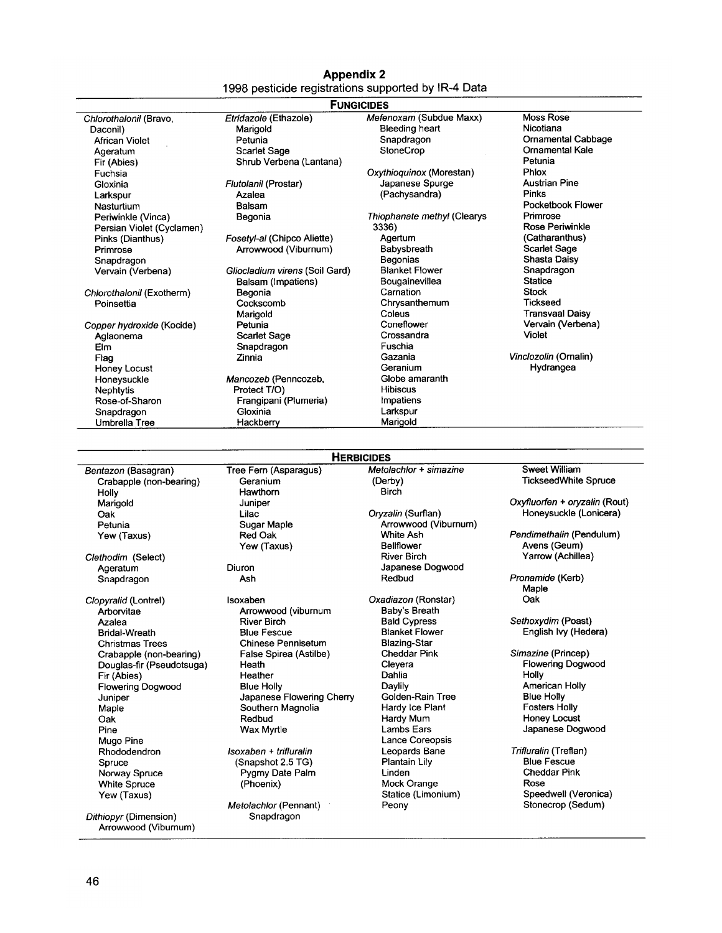## **Appendix 2** 1998 pesticide registrations supported by IR-4 Data

|                           |                                | <b>FUNGICIDES</b>           |                               |
|---------------------------|--------------------------------|-----------------------------|-------------------------------|
| Chlorothalonil (Bravo,    | Etridazole (Ethazole)          | Mefenoxam (Subdue Maxx)     | <b>Moss Rose</b>              |
| Daconil)                  | Marigold                       | <b>Bleeding heart</b>       | Nicotiana                     |
| African Violet            | Petunia                        | Snapdragon                  | <b>Ornamental Cabbage</b>     |
| Ageratum                  | <b>Scarlet Sage</b>            | StoneCrop                   | <b>Ornamental Kale</b>        |
| Fir (Abies)               | Shrub Verbena (Lantana)        |                             | Petunia                       |
| Fuchsia                   |                                | Oxythioquinox (Morestan)    | Phlox                         |
| Gloxinia                  | Flutolanil (Prostar)           | Japanese Spurge             | <b>Austrian Pine</b>          |
| Larkspur                  | Azalea                         | (Pachysandra)               | Pinks                         |
| Nasturtium                | Balsam                         |                             | Pocketbook Flower             |
| Periwinkle (Vinca)        | Begonia                        | Thiophanate methyl (Clearys | Primrose                      |
| Persian Violet (Cyclamen) |                                | 3336)                       | Rose Periwinkle               |
| Pinks (Dianthus)          | Fosetyl-al (Chipco Aliette)    | Agertum                     | (Catharanthus)                |
| Primrose                  | Arrowwood (Viburnum)           | Babysbreath                 | <b>Scarlet Sage</b>           |
| Snapdragon                |                                | Begonias                    | Shasta Daisy                  |
| Vervain (Verbena)         | Gliocladium virens (Soil Gard) | <b>Blanket Flower</b>       | Snapdragon                    |
|                           | Balsam (Impatiens)             | Bougainevillea              | <b>Statice</b>                |
| Chlorothalonil (Exotherm) | Begonia                        | Carnation                   | <b>Stock</b>                  |
| Poinsettia                | Cockscomb                      | Chrysanthemum               | Tickseed                      |
|                           | Marigold                       | Coleus                      | <b>Transvaal Daisy</b>        |
| Copper hydroxide (Kocide) | Petunia                        | Coneflower                  | Vervain (Verbena)             |
| Aglaonema                 | <b>Scarlet Sage</b>            | Crossandra                  | Violet                        |
| Elm                       | Snapdragon                     | Fuschia                     |                               |
| Flag                      | Zinnia                         | Gazania                     | Vinclozolin (Ornalin)         |
| <b>Honey Locust</b>       |                                | Geranium                    | Hydrangea                     |
| Honeysuckle               | Mancozeb (Penncozeb,           | Globe amaranth              |                               |
| Nephtytis                 | Protect T/O)                   | <b>Hibiscus</b>             |                               |
| Rose-of-Sharon            | Frangipani (Plumeria)          | Impatiens                   |                               |
| Snapdragon                | Gloxinia                       | Larkspur                    |                               |
| Umbrella Tree             | Hackberry                      | Marigold                    |                               |
|                           |                                |                             |                               |
|                           |                                | <b>HERBICIDES</b>           |                               |
| Bentazon (Basagran)       | Tree Fern (Asparagus)          | Metolachlor + simazine      | <b>Sweet William</b>          |
| Crabapple (non-bearing)   | Geranium                       | (Derby)                     | <b>TickseedWhite Spruce</b>   |
| Holly                     | Hawthorn                       | <b>Birch</b>                |                               |
| Marigold                  | Juniper                        |                             | Oxyfluorfen + oryzalin (Rout) |
| Oak                       | Lilac                          | Oryzalin (Surflan)          | Honeysuckle (Lonicera)        |
| Petunia                   | Sugar Maple                    | Arrowwood (Viburnum)        |                               |
| Yew (Taxus)               | Red Oak                        | White Ash                   | Pendimethalin (Pendulum)      |
|                           | Vow (Tovue)                    | Rollflower                  | $A$ vens $(B$ eum $)$         |

Clethodim (Select) Ageratum Snapdragon

Clopyralid (Lontrel) Arborvitae Azalea **Bridal-Wreath Christmas Trees** Crabapple (non-bearing) Douglas-fir (Pseudotsuga) Fir (Abies) Flowering Dogwood Juniper Maple Oak Pine Mugo Pine Rhododendron Spruce Norway Spruce White Spruce Yew (Taxus) Dithiopyr (Dimension)

Arrowwood (Viburnum)

Yew (Taxus)

Diuron Ash

Isoxaben Arrowwood (viburnum **River Birch Blue Fescue** Chinese Pennisetum False Spirea (Astilbe) Heath Heather **Blue Holly** Japanese Flowering Cherry Southern Magnolia Redbud Wax Myrtle Isoxaben + trifluralin (Snapshot 2.5 TG) Pygmy Date Palm (Phoenix)

Metolachlor (Pennant) Snapdragon

ellflower **River Birch** Japanese Dogwood Redbud Oxadiazon (Ronstar) Baby's Breath<br>Bald Cypress **Blanket Flower Blazing-Star** Cheddar Pink Cleyera Dahlia Daylily Golden-Rain Tree Hardy Ice Plant Hardy Mum Lambs Ears Lance Coreopsis Leopards Bane Plantain Lily Linden Mock Orange Statice (Limonium) Peony

Avens (Geum)<br>Yarrow (Achillea)

Pronamide (Kerb) Maple Oak

Sethoxydim (Poast) English Ivy (Hedera)

Simazine (Princep) Flowering Dogwood Holly American Holly **Blue Holly Fosters Holly** Honey Locust Japanese Dogwood

Trifluralin (Treflan) Blue Fescue **Cheddar Pink** Rose Speedwell (Veronica) Stonecrop (Sedum)